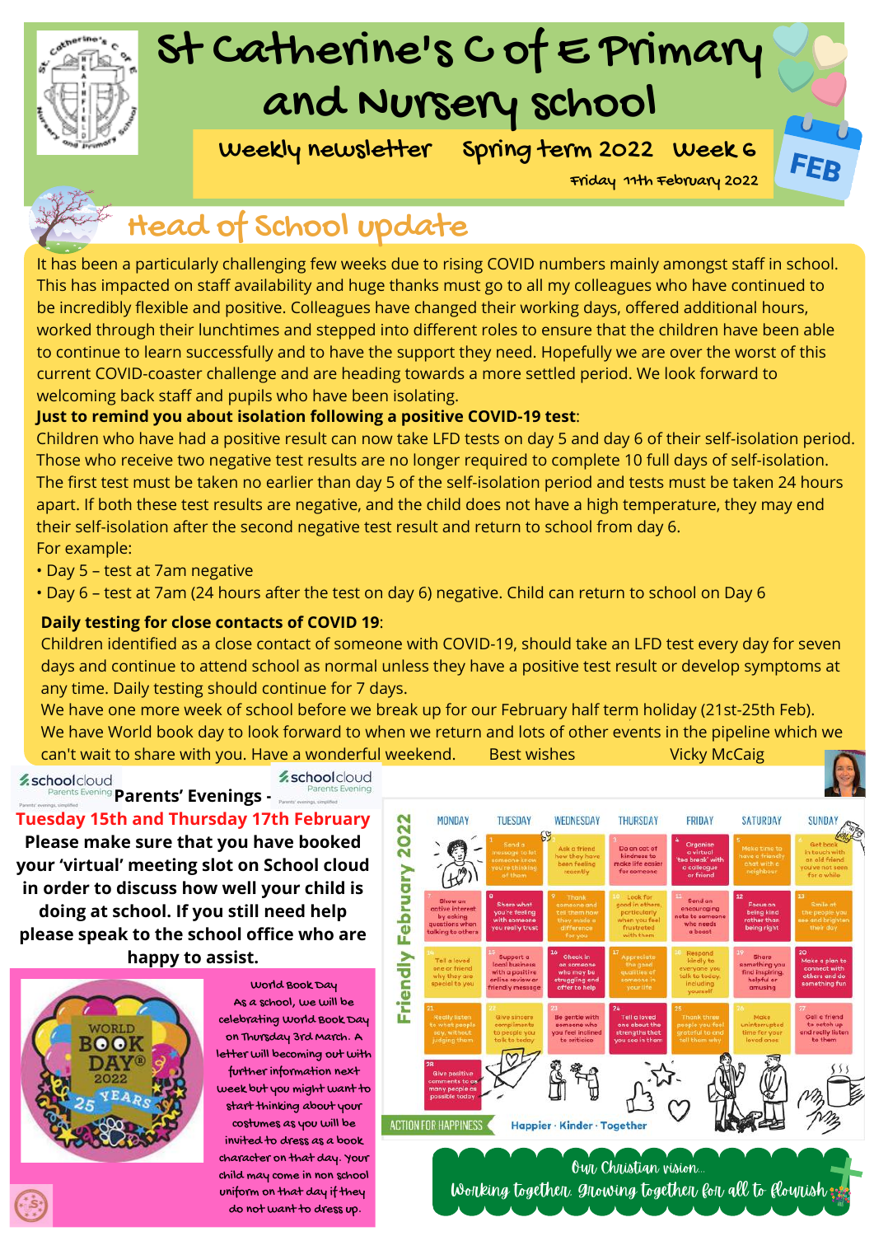

## St Catherine's C of E Primary and Nursery school

Weekly newsletter Spring term 2022 Week 6

Friday 11th February 2022

FFI

### Head of School update

It has been a particularly challenging few weeks due to rising COVID numbers mainly amongst staff in school. This has impacted on staff availability and huge thanks must go to all my colleagues who have continued to be incredibly flexible and positive. Colleagues have changed their working days, offered additional hours, worked through their lunchtimes and stepped into different roles to ensure that the children have been able to continue to learn successfully and to have the support they need. Hopefully we are over the worst of this current COVID-coaster challenge and are heading towards a more settled period. We look forward to welcoming back staff and pupils who have been isolating.

#### **Just to remind you about isolation following a positive COVID-19 test**:

Children who have had a positive result can now take LFD tests on day 5 and day 6 of their self-isolation period. Those who receive two negative test results are no longer required to complete 10 full days of self-isolation. The first test must be taken no earlier than day 5 of the self-isolation period and tests must be taken 24 hours apart. If both these test results are negative, and the child does not have a high temperature, they may end their self-isolation after the second negative test result and return to school from day 6. For example:

- Day 5 test at 7am negative
- Day 6 test at 7am (24 hours after the test on day 6) negative. Child can return to school on Day 6

#### **Daily testing for close contacts of COVID 19**:

Children identified as a close contact of someone with COVID-19, should take an LFD test every day for seven days and continue to attend school as normal unless they have a positive test result or develop symptoms at any time. Daily testing should continue for 7 days.

We have one more week of school before we break up for our February half term holiday (21st-25th Feb). We have World book day to look forward to when we return and lots of other events in the pipeline which we can't wait to share with you. Have a wonderful weekend. Best wishes Vicky McCaig

*⁄* schoolcloud

**z**schoolcloud

**Parents' Evenings - Tuesday 15th and Thursday 17th February Please make sure that you have booked your 'virtual' meeting slot on School cloud in order to discuss how well your child is doing at school. If you still need help please speak to the school office who are happy to assist.**



World Book Day As a school, we will be celebrating World Book Day on Thursday 3rd March. A letter will becoming out with further information next week but you might want to start thinking about your costumes as you will be invited to dress as a book character on that day. Your child may come in non school uniform on that day if they do not want to dress up.

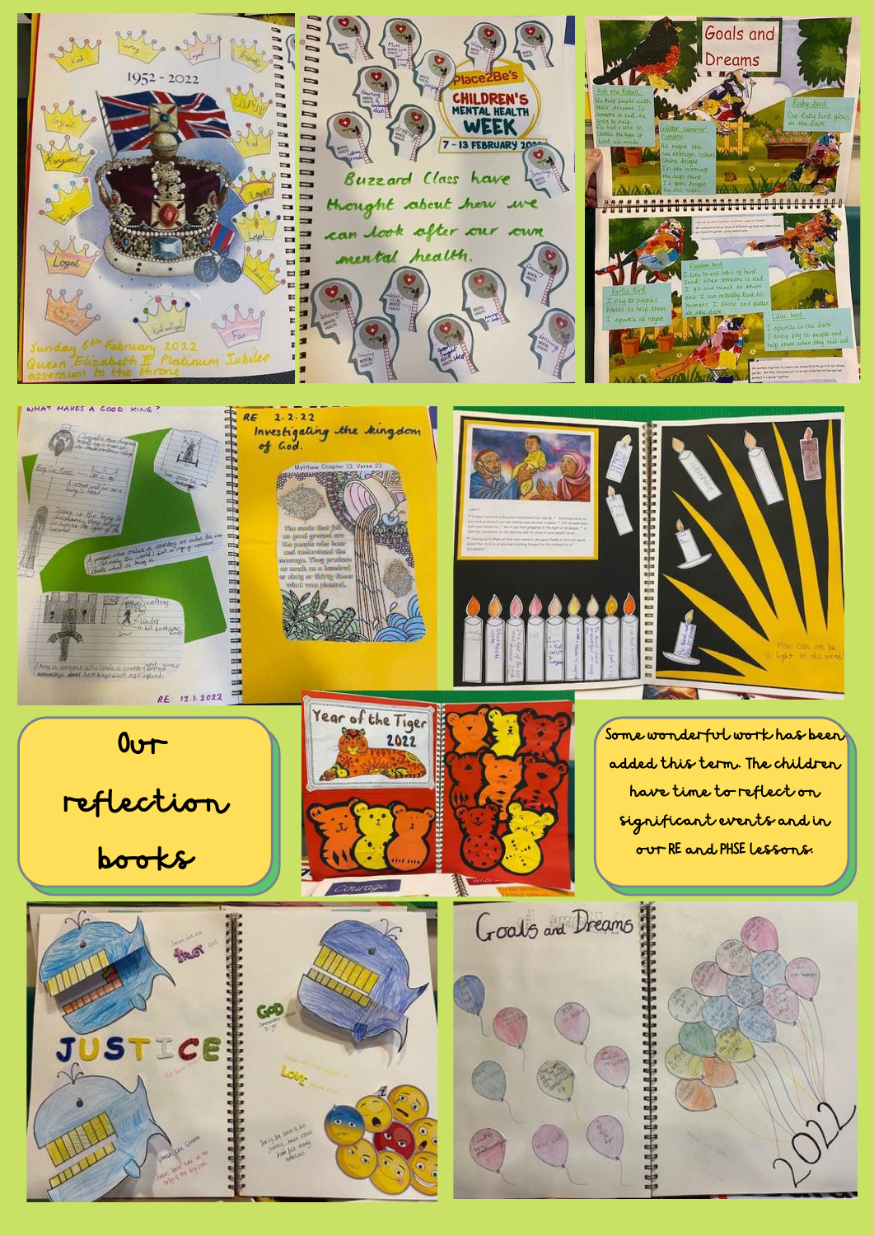